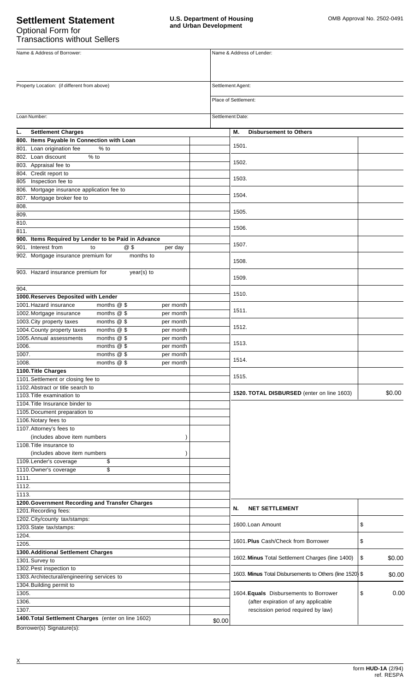# **Settlement Statement** Optional Form for Transactions without Sellers

| Name & Address of Borrower:                                              |        | Name & Address of Lender:                                |              |
|--------------------------------------------------------------------------|--------|----------------------------------------------------------|--------------|
|                                                                          |        |                                                          |              |
|                                                                          |        |                                                          |              |
| Property Location: (if different from above)                             |        | Settlement Agent:<br>Place of Settlement:                |              |
|                                                                          |        |                                                          |              |
| <b>Settlement Charges</b><br>L.                                          |        | М.<br><b>Disbursement to Others</b>                      |              |
| 800. Items Payable In Connection with Loan                               |        |                                                          |              |
| 801. Loan origination fee<br>$%$ to                                      |        | 1501.                                                    |              |
| 802. Loan discount<br>$%$ to                                             |        |                                                          |              |
| 803. Appraisal fee to                                                    |        | 1502.                                                    |              |
| 804. Credit report to                                                    |        |                                                          |              |
| 805 Inspection fee to                                                    |        | 1503.                                                    |              |
| 806. Mortgage insurance application fee to                               |        |                                                          |              |
| 807. Mortgage broker fee to                                              |        | 1504.                                                    |              |
| 808.                                                                     |        | 1505.                                                    |              |
| 809.                                                                     |        |                                                          |              |
| 810.                                                                     |        | 1506.                                                    |              |
| 811.                                                                     |        |                                                          |              |
| 900. Items Required by Lender to be Paid in Advance                      |        | 1507.                                                    |              |
| 901. Interest from<br>@\$<br>to<br>per day                               |        |                                                          |              |
| 902. Mortgage insurance premium for<br>months to                         |        | 1508.                                                    |              |
| 903. Hazard insurance premium for<br>year(s) to                          |        | 1509.                                                    |              |
| 904.<br>1000. Reserves Deposited with Lender                             |        | 1510.                                                    |              |
| 1001. Hazard insurance<br>months $@$ \$<br>per month                     |        |                                                          |              |
| 1002. Mortgage insurance<br>months $@$ \$<br>per month                   |        | 1511.                                                    |              |
| 1003. City property taxes<br>months $@$ \$<br>per month                  |        |                                                          |              |
| 1004. County property taxes<br>months $@$ \$<br>per month                |        | 1512.                                                    |              |
| 1005. Annual assessments<br>months $@$ \$<br>per month                   |        |                                                          |              |
| 1006.<br>months @ \$<br>per month                                        |        | 1513.                                                    |              |
| months $@$ \$<br>1007.<br>per month                                      |        |                                                          |              |
| 1008.<br>months $@$ \$<br>per month                                      |        | 1514.                                                    |              |
| 1100. Title Charges                                                      |        |                                                          |              |
| 1101. Settlement or closing fee to                                       |        | 1515.                                                    |              |
| 1102. Abstract or title search to                                        |        |                                                          |              |
| 1103. Title examination to                                               |        | 1520. TOTAL DISBURSED (enter on line 1603)               | \$0.00       |
| 1104. Title Insurance binder to                                          |        |                                                          |              |
| 1105. Document preparation to                                            |        |                                                          |              |
| 1106. Notary fees to                                                     |        |                                                          |              |
| 1107. Attorney's fees to                                                 |        |                                                          |              |
| (includes above item numbers                                             |        |                                                          |              |
| 1108. Title insurance to                                                 |        |                                                          |              |
| (includes above item numbers                                             |        |                                                          |              |
| \$<br>1109. Lender's coverage                                            |        |                                                          |              |
| \$<br>1110. Owner's coverage                                             |        |                                                          |              |
| 1111.                                                                    |        |                                                          |              |
| 1112.                                                                    |        |                                                          |              |
| 1113.                                                                    |        |                                                          |              |
| 1200. Government Recording and Transfer Charges<br>1201. Recording fees: |        | N.<br><b>NET SETTLEMENT</b>                              |              |
| 1202. City/county tax/stamps:                                            |        |                                                          |              |
| 1203. State tax/stamps:                                                  |        | 1600. Loan Amount                                        | \$           |
| 1204.                                                                    |        |                                                          |              |
| 1205.                                                                    |        | 1601. Plus Cash/Check from Borrower                      | \$           |
| 1300. Additional Settlement Charges                                      |        |                                                          |              |
| 1301.Survey to                                                           |        | 1602. Minus Total Settlement Charges (line 1400)         | \$<br>\$0.00 |
| 1302. Pest inspection to                                                 |        |                                                          |              |
| 1303. Architectural/engineering services to                              |        | 1603. Minus Total Disbursements to Others (line 1520) \$ | \$0.00       |
| 1304. Building permit to                                                 |        |                                                          |              |
| 1305.                                                                    |        | 1604. Equals Disbursements to Borrower                   | 0.00<br>\$   |
| 1306.                                                                    |        | (after expiration of any applicable                      |              |
| 1307.                                                                    |        | rescission period required by law)                       |              |
| 1400. Total Settlement Charges (enter on line 1602)                      | \$0.00 |                                                          |              |
|                                                                          |        |                                                          |              |

Borrower(s) Signature(s):